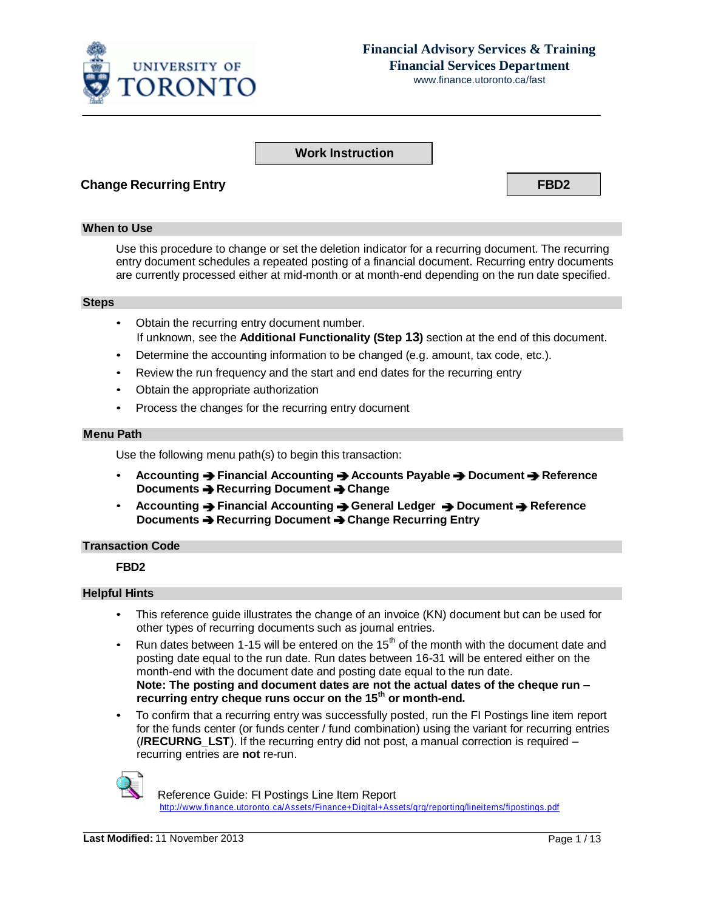

# **Financial Advisory Services & Training Financial Services Department**

www.finance.utoronto.ca/fast

### **Work Instruction**

### **Change Recurring Entry FBD2**

#### **When to Use**

Use this procedure to change or set the deletion indicator for a recurring document. The recurring entry document schedules a repeated posting of a financial document. Recurring entry documents are currently processed either at mid-month or at month-end depending on the run date specified.

#### **Steps**

- Obtain the recurring entry document number. If unknown, see the **Additional Functionality (Step 13)** section at the end of this document.
- Determine the accounting information to be changed (e.g. amount, tax code, etc.).
- Review the run frequency and the start and end dates for the recurring entry
- Obtain the appropriate authorization
- Process the changes for the recurring entry document

#### **Menu Path**

Use the following menu path(s) to begin this transaction:

- **Accounting Financial Accounting Accounts Payable Document Reference Documents Recurring Document Change**
- **•** Accounting → Financial Accounting → General Ledger → Document → Reference **Documents Recurring Document Change Recurring Entry**

### **Transaction Code**

### **FBD2**

### **Helpful Hints**

- This reference guide illustrates the change of an invoice (KN) document but can be used for other types of recurring documents such as journal entries.
- Run dates between 1-15 will be entered on the  $15<sup>th</sup>$  of the month with the document date and posting date equal to the run date. Run dates between 16-31 will be entered either on the month-end with the document date and posting date equal to the run date. **Note: The posting and document dates are not the actual dates of the cheque run – recurring entry cheque runs occur on the 15 th or month-end.**
- To confirm that a recurring entry was successfully posted, run the FI Postings line item report for the funds center (or funds center / fund combination) using the variant for recurring entries (**/RECURNG\_LST**). If the recurring entry did not post, a manual correction is required – recurring entries are **not** re-run.



 Reference Guide: FI Postings Line Item Report [http://www.finance.utoronto.ca/Assets/Finance+Digital+Assets/qrg/reporting/lineitems/fipostings.pdf](http://finance.utoronto.ca/wp-content/uploads/2015/10/fipostings.pdf)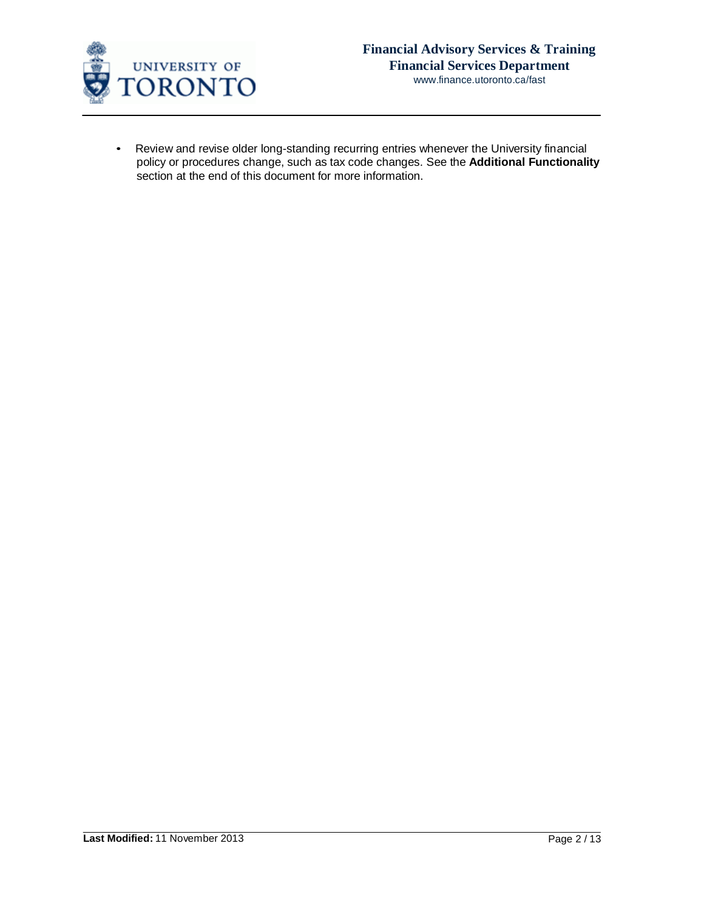

• Review and revise older long-standing recurring entries whenever the University financial policy or procedures change, such as tax code changes. See the **Additional Functionality**  section at the end of this document for more information.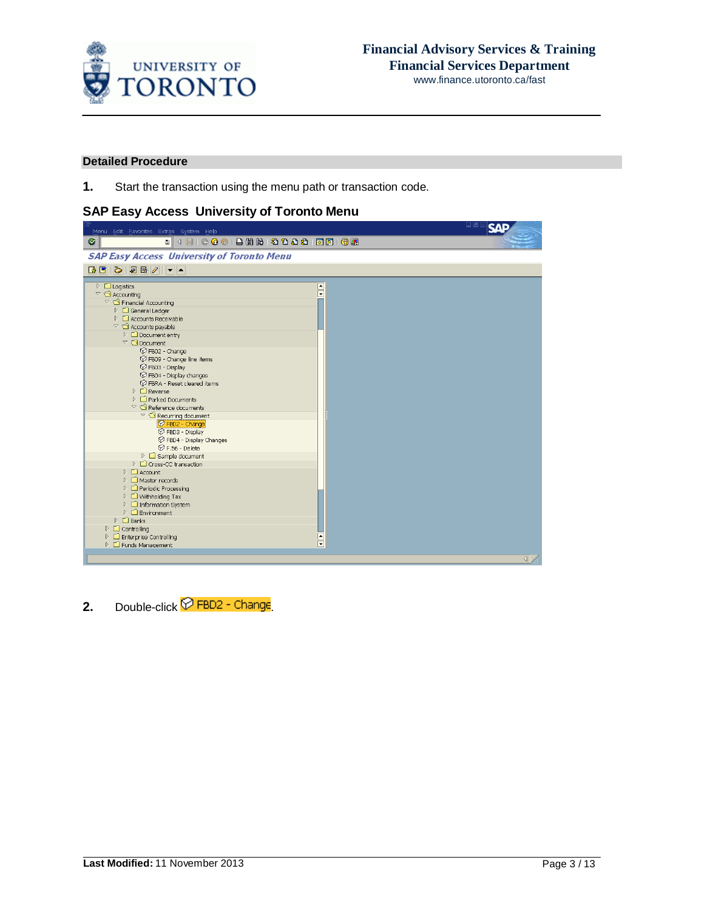

### **Detailed Procedure**

**1.** Start the transaction using the menu path or transaction code.

# **SAP Easy Access University of Toronto Menu**

| Menu Edit Favorites Extras System Help                                     | 口回区             |
|----------------------------------------------------------------------------|-----------------|
| Ø                                                                          |                 |
| <b>SAP Easy Access University of Toronto Menu</b>                          |                 |
| <b>BEDEE</b>                                                               |                 |
| $\triangleright$ $\Box$ Logistics<br>$\frac{1}{\sqrt{2}}$                  |                 |
| $\triangledown$ $\bigodot$ Accounting                                      |                 |
| $\heartsuit$ $\bigcirc$ Financial Accounting                               |                 |
| $\triangleright$ $\Box$ General Ledger                                     |                 |
| $\triangleright$ $\Box$ Accounts Receivable                                |                 |
| $\triangledown$ $\bigodot$ Accounts payable                                |                 |
| $\triangleright$ $\Box$ Document entry<br>$\heartsuit$ $\bigcirc$ Document |                 |
| <b>⊙</b> FB02 - Change                                                     |                 |
| P FB09 - Change line items                                                 |                 |
| P FB03 - Display                                                           |                 |
| P FB04 - Display changes                                                   |                 |
| <b>⊙</b> FBRA - Reset cleared items                                        |                 |
| $\triangleright$ $\square$ Reverse                                         |                 |
| $\triangleright$ $\Box$ Parked Documents                                   |                 |
| $\heartsuit$ Reference documents                                           |                 |
| $\triangledown$ $\bigodot$ Recurring document                              |                 |
| P FBD2 - Change                                                            |                 |
| P FBD3 - Display                                                           |                 |
| C FBD4 - Display Changes                                                   |                 |
| <b>⊙</b> F.56 - Delete                                                     |                 |
| $\triangleright$ $\Box$ Sample document                                    |                 |
| $\triangleright$ $\square$ Cross-CC transaction                            |                 |
| $\triangleright$ $\Box$ Account                                            |                 |
| $\triangleright$ $\Box$ Master records                                     |                 |
| $\triangleright$ $\Box$ Periodic Processing                                |                 |
| $\triangleright$ $\Box$ Withholding Tax                                    |                 |
| ▷ □ Information System<br>$\triangleright$ $\Box$ Environment              |                 |
| $\triangleright$ $\square$ Banks                                           |                 |
| $\triangleright$ $\Box$ Controlling                                        |                 |
| <b>D</b> Enterprise Controlling                                            |                 |
| $\frac{1}{\sqrt{2}}$<br>$\triangleright$ $\Box$ Funds Management           |                 |
|                                                                            |                 |
|                                                                            | $\triangleleft$ |

2. Double-click **D**FBD2 - Change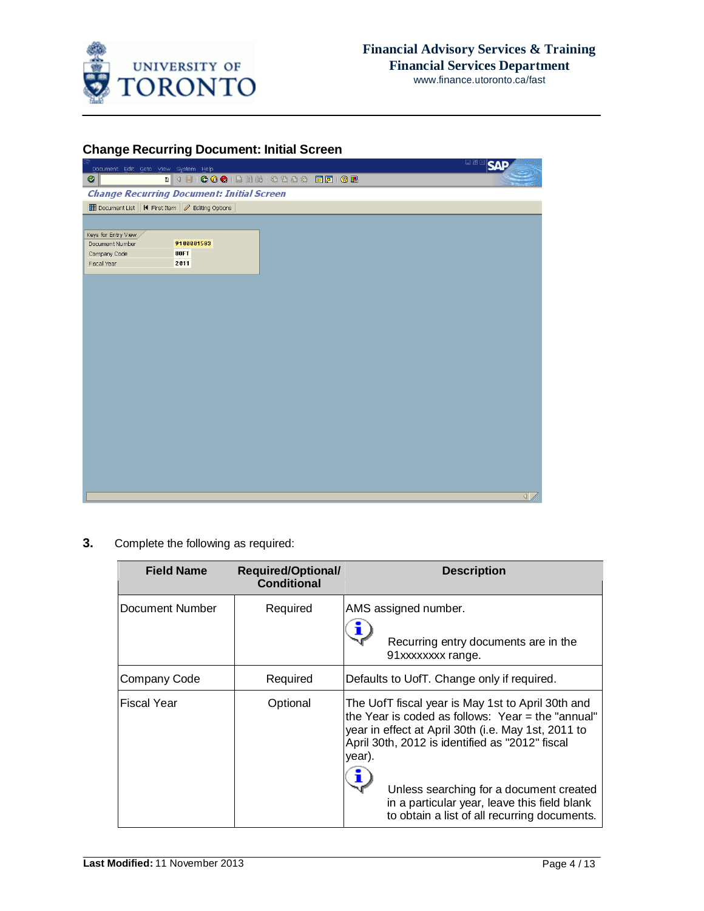

## **Change Recurring Document: Initial Screen**

| . 4 8 6 6 6 6 6 6 6 7 8 9 8 9 8 8 8 8 8 8 8 8 8 8<br>◙<br><b>Change Recurring Document: Initial Screen</b><br>Document List   K First Item   2 Editing Options<br>Keys for Entry View<br>9100001583<br>Document Number<br><b>UOFT</b><br>Company Code<br>Fiscal Year<br>2011<br>$\left  \right $ | Document Edit Goto View System Help |  | 口画区<br><b>SAF</b> |
|--------------------------------------------------------------------------------------------------------------------------------------------------------------------------------------------------------------------------------------------------------------------------------------------------|-------------------------------------|--|-------------------|
|                                                                                                                                                                                                                                                                                                  |                                     |  |                   |
|                                                                                                                                                                                                                                                                                                  |                                     |  |                   |
|                                                                                                                                                                                                                                                                                                  |                                     |  |                   |
|                                                                                                                                                                                                                                                                                                  |                                     |  |                   |
|                                                                                                                                                                                                                                                                                                  |                                     |  |                   |
|                                                                                                                                                                                                                                                                                                  |                                     |  |                   |
|                                                                                                                                                                                                                                                                                                  |                                     |  |                   |
|                                                                                                                                                                                                                                                                                                  |                                     |  |                   |
|                                                                                                                                                                                                                                                                                                  |                                     |  |                   |
|                                                                                                                                                                                                                                                                                                  |                                     |  |                   |
|                                                                                                                                                                                                                                                                                                  |                                     |  |                   |
|                                                                                                                                                                                                                                                                                                  |                                     |  |                   |
|                                                                                                                                                                                                                                                                                                  |                                     |  |                   |
|                                                                                                                                                                                                                                                                                                  |                                     |  |                   |
|                                                                                                                                                                                                                                                                                                  |                                     |  |                   |
|                                                                                                                                                                                                                                                                                                  |                                     |  |                   |
|                                                                                                                                                                                                                                                                                                  |                                     |  |                   |
|                                                                                                                                                                                                                                                                                                  |                                     |  |                   |
|                                                                                                                                                                                                                                                                                                  |                                     |  |                   |
|                                                                                                                                                                                                                                                                                                  |                                     |  |                   |
|                                                                                                                                                                                                                                                                                                  |                                     |  |                   |
|                                                                                                                                                                                                                                                                                                  |                                     |  |                   |
|                                                                                                                                                                                                                                                                                                  |                                     |  |                   |
|                                                                                                                                                                                                                                                                                                  |                                     |  |                   |
|                                                                                                                                                                                                                                                                                                  |                                     |  |                   |
|                                                                                                                                                                                                                                                                                                  |                                     |  |                   |
|                                                                                                                                                                                                                                                                                                  |                                     |  |                   |
|                                                                                                                                                                                                                                                                                                  |                                     |  |                   |
|                                                                                                                                                                                                                                                                                                  |                                     |  |                   |
|                                                                                                                                                                                                                                                                                                  |                                     |  |                   |

## **3.** Complete the following as required:

| <b>Required/Optional/</b><br><b>Conditional</b> | <b>Description</b>                                                                                                                                                                                                                                                                                                                                                    |
|-------------------------------------------------|-----------------------------------------------------------------------------------------------------------------------------------------------------------------------------------------------------------------------------------------------------------------------------------------------------------------------------------------------------------------------|
| Required                                        | AMS assigned number.<br>Recurring entry documents are in the<br>91xxxxxxxx range.                                                                                                                                                                                                                                                                                     |
| Required                                        | Defaults to UofT. Change only if required.                                                                                                                                                                                                                                                                                                                            |
| Optional                                        | The UofT fiscal year is May 1st to April 30th and<br>the Year is coded as follows: Year = the "annual"<br>year in effect at April 30th (i.e. May 1st, 2011 to<br>April 30th, 2012 is identified as "2012" fiscal<br>year).<br>Unless searching for a document created<br>in a particular year, leave this field blank<br>to obtain a list of all recurring documents. |
|                                                 |                                                                                                                                                                                                                                                                                                                                                                       |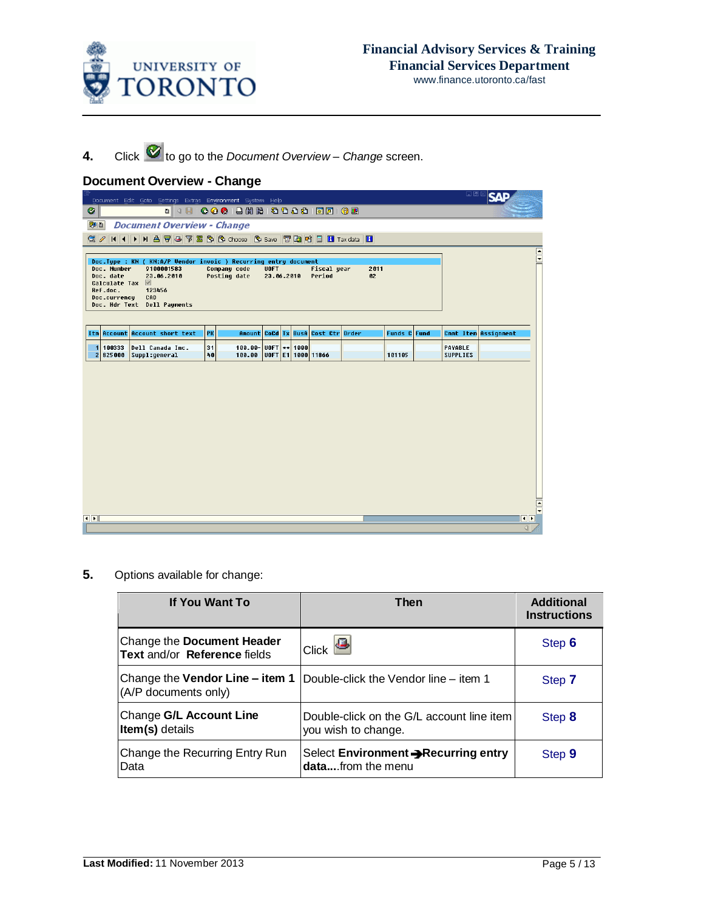

**4.** Click  $\bullet$  to go to the *Document* Overview – *Change* screen.

# **Document Overview - Change**

|                                                                                      | Document Edit Goto Settings Extras Environment System Help                                                                                  |                              |                           |  |              |                                    |    |                     |  | 日回区                        | <b>SAF</b>           |                        |
|--------------------------------------------------------------------------------------|---------------------------------------------------------------------------------------------------------------------------------------------|------------------------------|---------------------------|--|--------------|------------------------------------|----|---------------------|--|----------------------------|----------------------|------------------------|
| Ø                                                                                    | <sup>8</sup> 4 8 6 6 6 6 8 8 8 8 9 9 8 8 8 8 8 8 8 8                                                                                        |                              |                           |  |              |                                    |    |                     |  |                            |                      |                        |
| 別日                                                                                   | <b>Document Overview - Change</b>                                                                                                           |                              |                           |  |              |                                    |    |                     |  |                            |                      |                        |
| $Q$ $\rho$                                                                           | <b>K 4 D N A 7 &amp; 7 &amp; 6 6 Choose 6 Save 7 &amp; 4 E H</b> Tax data H                                                                 |                              |                           |  |              |                                    |    |                     |  |                            |                      |                        |
| Doc. Number<br>Doc. date<br>Calculate Tax $\blacksquare$<br>Ref.doc.<br>Doc.currency | Doc.Type : KN ( KN:A/P Vendor invoic ) Recurring entry document<br>9100001583<br>23.06.2010<br>123456<br>CAD<br>Doc. Hdr Text Dell Payments | Company code<br>Posting date | <b>UOFT</b><br>23.06.2010 |  |              | <b>Fiscal</b> year<br>Period       | 02 | 2011                |  |                            |                      | $\frac{1}{\sqrt{2}}$   |
|                                                                                      | Itm Account Account short text                                                                                                              | PK                           | Amount                    |  |              | <b>CoCd Tx BusA Cost Ctr Order</b> |    | <b>Funds C</b> Fund |  |                            | Cmmt Item Assignment |                        |
| 1<br>100333<br>$\overline{2}$<br>825000                                              | Dell Canada Inc.<br>Suppl:general                                                                                                           | 31<br>40                     | $100.00 -$<br>100.00      |  | UOFT ** 1000 | UOFT E1 1000 11866                 |    | 101105              |  | PAYABLE<br><b>SUPPLIES</b> |                      |                        |
|                                                                                      |                                                                                                                                             |                              |                           |  |              |                                    |    |                     |  |                            |                      | $\frac{1}{\sqrt{2}}$   |
| $\left  \cdot \right $                                                               |                                                                                                                                             |                              |                           |  |              |                                    |    |                     |  |                            |                      | $\left  \cdot \right $ |
|                                                                                      |                                                                                                                                             |                              |                           |  |              |                                    |    |                     |  |                            | $\sqrt{2}$           |                        |

**5.** Options available for change:

| If You Want To                                             | Then                                                             | <b>Additional</b><br><b>Instructions</b> |
|------------------------------------------------------------|------------------------------------------------------------------|------------------------------------------|
| Change the Document Header<br>Text and/or Reference fields | $ C $ click $\Box$                                               | Step 6                                   |
| Change the Vendor Line - item 1<br>(A/P documents only)    | Double-click the Vendor line – item 1                            | Step 7                                   |
| Change G/L Account Line<br>Item(s) details                 | Double-click on the G/L account line item<br>you wish to change. | Step 8                                   |
| Change the Recurring Entry Run<br>Data                     | Select Environment -Recurring entry<br>datafrom the menu         | Step 9                                   |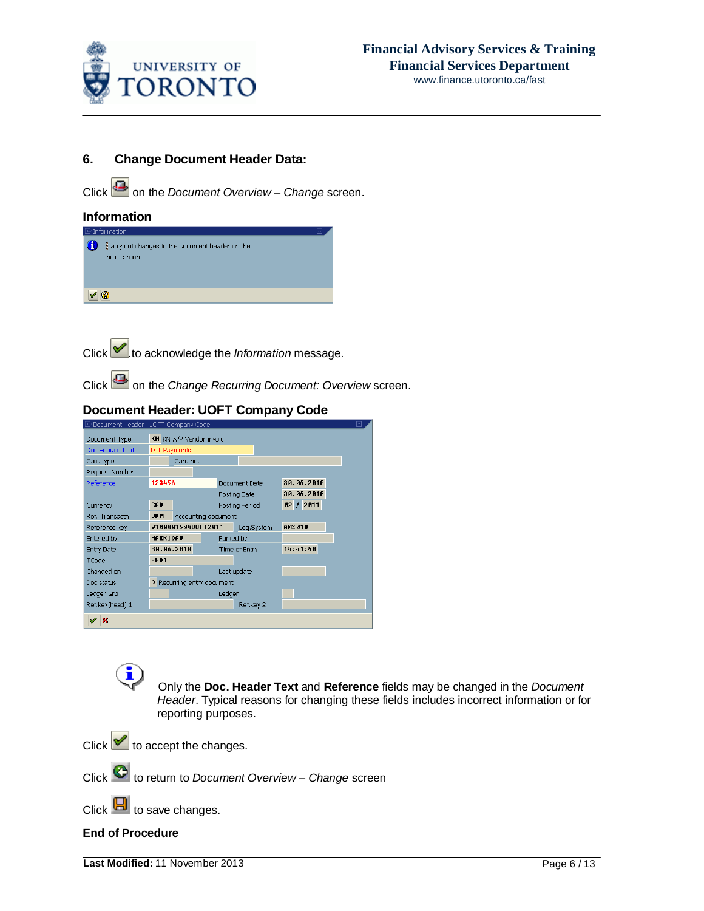

### **6. Change Document Header Data:**

Click **3** on the *Document* Overview – *Change* screen.

### **Information**



Click **.**to acknowledge the *Information* message.

Click on the *Change Recurring Document: Overview* screen.

# **Document Header: UOFT Company Code**

| LS Document Header: UOFT Company Code |             |                            |  |               |                |  |            |  |  |
|---------------------------------------|-------------|----------------------------|--|---------------|----------------|--|------------|--|--|
| Document Type                         |             | KN KN:A/P Vendor invoic    |  |               |                |  |            |  |  |
| Doc.Header Text                       |             | Dell Payments              |  |               |                |  |            |  |  |
| Card type                             |             | Card no.                   |  |               |                |  |            |  |  |
| Request Number                        |             |                            |  |               |                |  |            |  |  |
| Reference                             | 123456      |                            |  |               | Document Date  |  | 30.06.2010 |  |  |
|                                       |             |                            |  |               | Posting Date   |  | 30.06.2010 |  |  |
| Currency                              | CAD         |                            |  |               | Posting Period |  | 02 / 2011  |  |  |
| Ref. Transactn                        | <b>BKPF</b> | Accounting document        |  |               |                |  |            |  |  |
| Reference key                         |             | 9100001584U0FT2011         |  |               | Log.System     |  | AMS 010    |  |  |
| Entered by                            | HARRIDAU    |                            |  | Parked by     |                |  |            |  |  |
| Entry Date                            |             | 30.06.2010                 |  | Time of Entry |                |  | 14:41:40   |  |  |
| TCode                                 | FBD1        |                            |  |               |                |  |            |  |  |
| Changed on                            |             |                            |  |               | Last update    |  |            |  |  |
| Doc.status                            |             | D Recurring entry document |  |               |                |  |            |  |  |
| Ledger Grp                            |             |                            |  | Ledger        |                |  |            |  |  |
| Ref.key(head) 1                       |             |                            |  |               | Ref.key 2      |  |            |  |  |
| ×                                     |             |                            |  |               |                |  |            |  |  |
|                                       |             |                            |  |               |                |  |            |  |  |

 Only the **Doc. Header Text** and **Reference** fields may be changed in the *Document Header*. Typical reasons for changing these fields includes incorrect information or for reporting purposes.

Click  $\vee$  to accept the changes.

Click to return to *Document Overview – Change* screen

Click  $\Box$  to save changes.

**End of Procedure**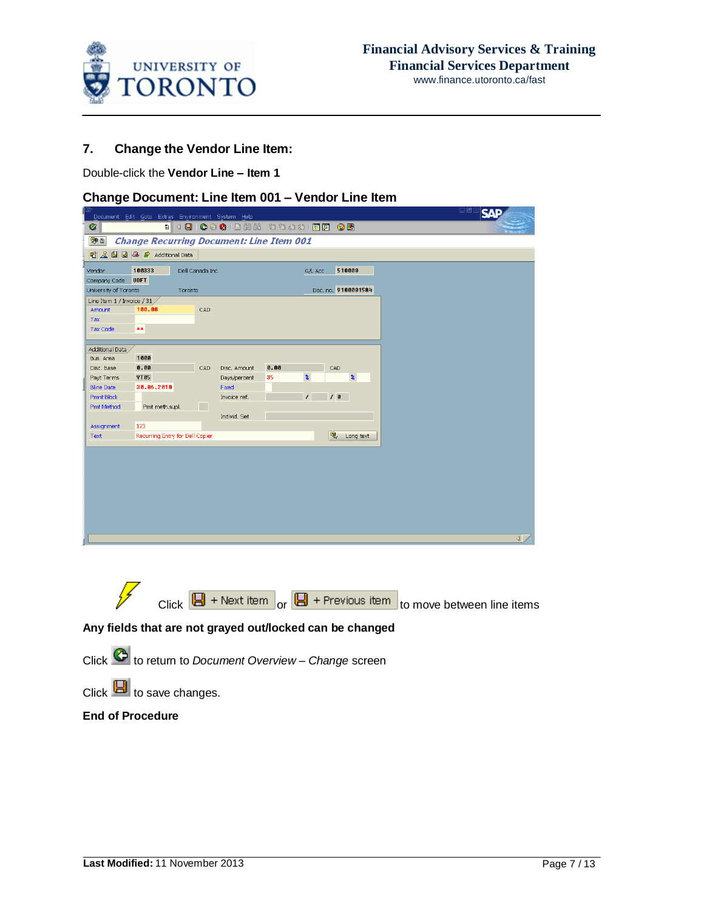

### **7. Change the Vendor Line Item:**

Double-click the **Vendor Line – Item 1**

### **Change Document: Line Item 001 – Vendor Line Item**





## **Any fields that are not grayed out/locked can be changed**

Click to return to *Document Overview – Change* screen

Click  $\mathbf{E}$  to save changes.

### **End of Procedure**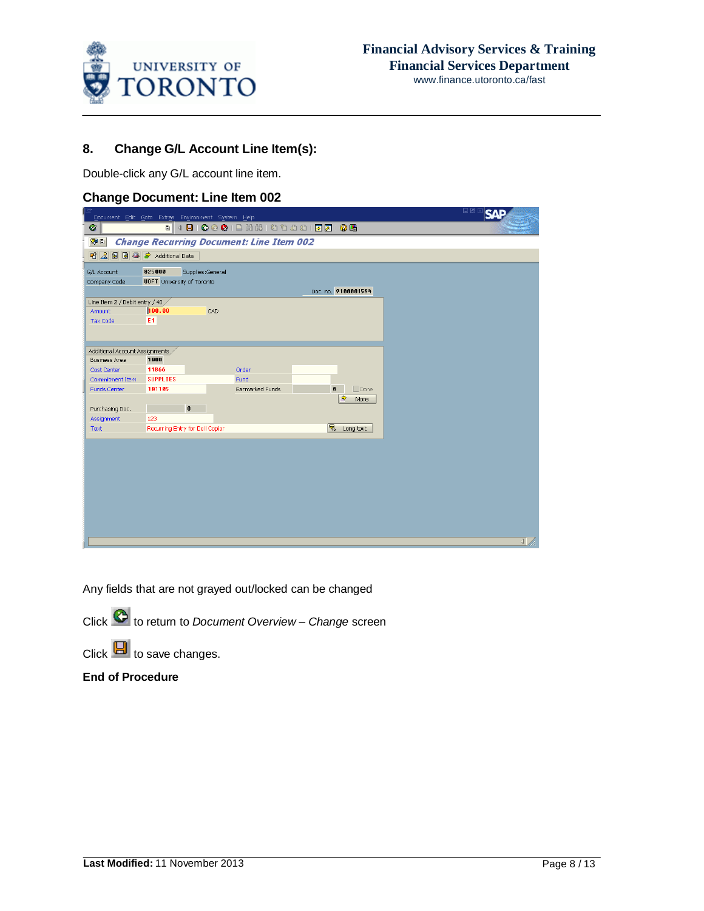

## **8. Change G/L Account Line Item(s):**

Double-click any G/L account line item.

### **Change Document: Line Item 002**

|                                | Document Edit Goto Extras Environment System Help |                                         |                                                      | 口回              |
|--------------------------------|---------------------------------------------------|-----------------------------------------|------------------------------------------------------|-----------------|
| Ø                              |                                                   | . 4 8 6 6 6 1 2 3 3 4 5 6 7 6 7 8 7 8 7 |                                                      |                 |
| $\sqrt{2}$                     | <b>Change Recurring Document: Line Item 002</b>   |                                         |                                                      |                 |
|                                | <b>昭 2 国 国 马 Additional Data</b>                  |                                         |                                                      |                 |
| G/L Account                    | 825000<br>Supplies:General                        |                                         |                                                      |                 |
| Company Code                   | <b>UOFT</b> University of Toronto                 |                                         |                                                      |                 |
|                                |                                                   |                                         | Doc. no. 9100001584                                  |                 |
| Line Item 2 / Debit entry / 40 |                                                   |                                         |                                                      |                 |
| Amount                         | 100.00<br>CAD                                     |                                         |                                                      |                 |
| <b>Tax Code</b>                | E <sub>1</sub>                                    |                                         |                                                      |                 |
|                                |                                                   |                                         |                                                      |                 |
| Additional Account Assignments |                                                   |                                         |                                                      |                 |
| <b>Business Area</b>           | 1000                                              |                                         |                                                      |                 |
| Cost Center                    | 11866                                             | Order                                   |                                                      |                 |
| Commitment Item                | <b>SUPPLIES</b>                                   | Fund                                    |                                                      |                 |
| Funds Center                   | 101105                                            | Earmarked Funds                         | $\Box$ Done<br>$\mathbf{g}$<br>$\Rightarrow$<br>More |                 |
| Purchasing Doc.                | $\mathbf 0$                                       |                                         |                                                      |                 |
| Assignment                     | 123                                               |                                         |                                                      |                 |
| Text                           | Recurring Entry for Dell Copier                   |                                         | <sub>v</sub> Long text                               |                 |
|                                |                                                   |                                         |                                                      |                 |
|                                |                                                   |                                         |                                                      |                 |
|                                |                                                   |                                         |                                                      |                 |
|                                |                                                   |                                         |                                                      |                 |
|                                |                                                   |                                         |                                                      |                 |
|                                |                                                   |                                         |                                                      |                 |
|                                |                                                   |                                         |                                                      |                 |
|                                |                                                   |                                         |                                                      |                 |
|                                |                                                   |                                         |                                                      |                 |
|                                |                                                   |                                         |                                                      | $\triangleleft$ |

Any fields that are not grayed out/locked can be changed

Click to return to *Document Overview – Change* screen

 $Click$   $\Box$  to save changes.

**End of Procedure**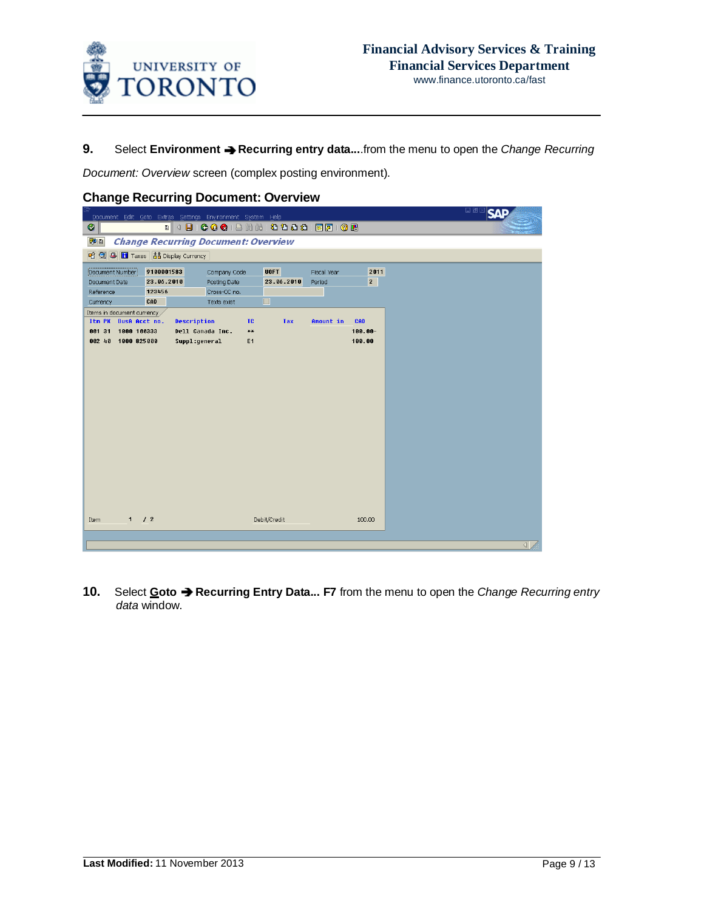

**9.** Select **Environment Recurring entry data...**.from the menu to open the *Change Recurring*

*Document: Overview* screen (complex posting environment).

| Document Edit Goto Extras Settings Environment System Help |                                            |                                   |                                                                  |                                               |             |                      | 口画 |  |  |
|------------------------------------------------------------|--------------------------------------------|-----------------------------------|------------------------------------------------------------------|-----------------------------------------------|-------------|----------------------|----|--|--|
| Ø                                                          |                                            |                                   |                                                                  | . 4 8 6 6 6 1 8 1 8 1 8 1 8 1 8 2 1 8 2 1 6 8 |             |                      |    |  |  |
| VIE                                                        | <b>Change Recurring Document: Overview</b> |                                   |                                                                  |                                               |             |                      |    |  |  |
| <b>昭 ③ 4 団</b> Taxes   品 Display Currency                  |                                            |                                   |                                                                  |                                               |             |                      |    |  |  |
| Document Number                                            | 9100001583                                 | Company Code                      |                                                                  | <b>UOFT</b>                                   | Fiscal Year | 2011                 |    |  |  |
| Document Date                                              | 23.06.2010                                 | Posting Date                      |                                                                  | 23.06.2010                                    | Period      | $\mathbf{2}$         |    |  |  |
| Reference                                                  | 123456                                     | Cross-CC no.                      |                                                                  |                                               |             |                      |    |  |  |
| Currency                                                   | CAD                                        | Texts exist                       |                                                                  | П                                             |             |                      |    |  |  |
| Items in document currency,                                |                                            |                                   |                                                                  |                                               |             |                      |    |  |  |
| Itm PK BusA Acct no.                                       | Description                                |                                   | TC.                                                              | <b>Tax</b>                                    | Amount in   | CAD                  |    |  |  |
| 001 31<br>1000 100333<br>1000 825000<br>$002 - 40$         |                                            | Dell Canada Inc.<br>Suppl:general | $\boldsymbol{\varkappa}\boldsymbol{\varkappa}$<br>E <sub>1</sub> |                                               |             | $100.00 -$<br>100.00 |    |  |  |
|                                                            |                                            |                                   |                                                                  |                                               |             |                      |    |  |  |
|                                                            |                                            |                                   |                                                                  |                                               |             |                      |    |  |  |
|                                                            |                                            |                                   |                                                                  |                                               |             |                      |    |  |  |
|                                                            |                                            |                                   |                                                                  |                                               |             |                      |    |  |  |
|                                                            |                                            |                                   |                                                                  |                                               |             |                      |    |  |  |
|                                                            |                                            |                                   |                                                                  |                                               |             |                      |    |  |  |
|                                                            |                                            |                                   |                                                                  |                                               |             |                      |    |  |  |
|                                                            |                                            |                                   |                                                                  |                                               |             |                      |    |  |  |
|                                                            |                                            |                                   |                                                                  |                                               |             |                      |    |  |  |
|                                                            |                                            |                                   |                                                                  |                                               |             |                      |    |  |  |
|                                                            |                                            |                                   |                                                                  |                                               |             |                      |    |  |  |
|                                                            |                                            |                                   |                                                                  |                                               |             |                      |    |  |  |
|                                                            |                                            |                                   |                                                                  |                                               |             |                      |    |  |  |
|                                                            |                                            |                                   |                                                                  |                                               |             |                      |    |  |  |
|                                                            |                                            |                                   |                                                                  |                                               |             |                      |    |  |  |
|                                                            |                                            |                                   |                                                                  |                                               |             |                      |    |  |  |
| 1 / 2<br>Item                                              |                                            |                                   |                                                                  | Debit/Credit                                  |             | 100.00               |    |  |  |
|                                                            |                                            |                                   |                                                                  |                                               |             |                      |    |  |  |
|                                                            |                                            |                                   |                                                                  |                                               |             |                      | ◁  |  |  |
|                                                            |                                            |                                   |                                                                  |                                               |             |                      |    |  |  |

## **Change Recurring Document: Overview**

**10.** Select **Goto Recurring Entry Data... F7** from the menu to open the *Change Recurring entry data* window.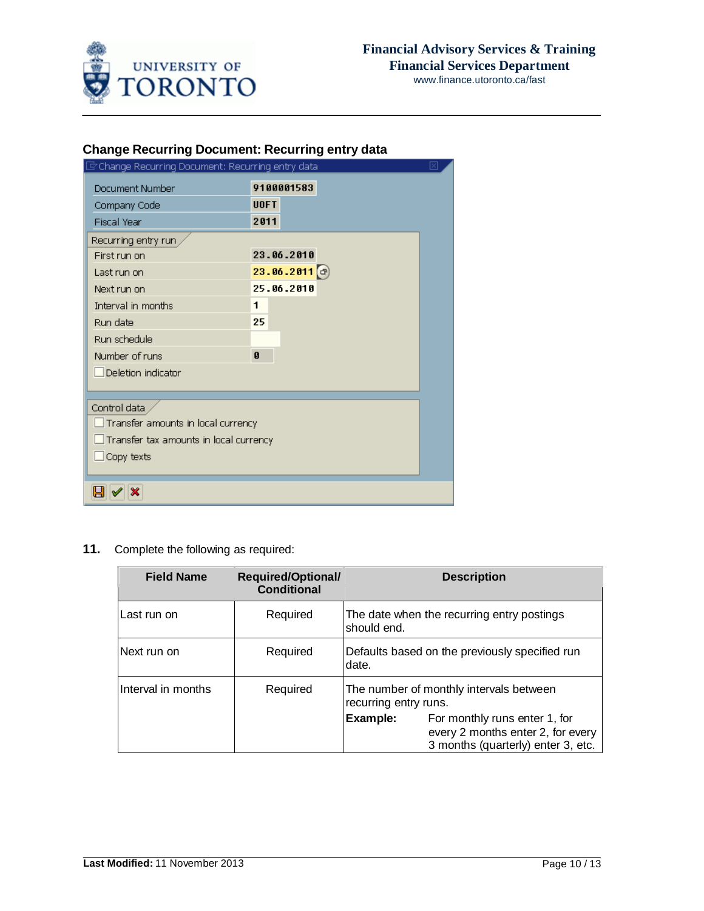

www.finance.utoronto.ca/fast

# **Change Recurring Document: Recurring entry data**

| C Change Recurring Document: Recurring entry data |                      | ⊠ |
|---------------------------------------------------|----------------------|---|
| Document Number                                   | 9100001583           |   |
| Company Code                                      | <b>UOFT</b>          |   |
| <b>Fiscal Year</b>                                | 2011                 |   |
| Recurring entry run                               |                      |   |
| First run on                                      | 23.06.2010           |   |
| Last run on                                       | $23.06.2011$ $\circ$ |   |
| Next run on                                       | 25.06.2010           |   |
| Interval in months                                | 1                    |   |
| Run date                                          | 25                   |   |
| Run schedule                                      |                      |   |
| Number of runs                                    | Ø                    |   |
| Deletion indicator                                |                      |   |
|                                                   |                      |   |
| Control data                                      |                      |   |
| $\Box$ Transfer amounts in local currency         |                      |   |
| $\Box$ Transfer tax amounts in local currency     |                      |   |
| $\Box$ Copy texts                                 |                      |   |
|                                                   |                      |   |
| ×                                                 |                      |   |

## **11.** Complete the following as required:

| <b>Field Name</b>  | <b>Required/Optional/</b><br><b>Conditional</b> |                       | <b>Description</b>                                                                                       |
|--------------------|-------------------------------------------------|-----------------------|----------------------------------------------------------------------------------------------------------|
| Last run on        | Required                                        | should end.           | The date when the recurring entry postings                                                               |
| Next run on        | Required                                        | date.                 | Defaults based on the previously specified run                                                           |
| Interval in months | Required                                        | recurring entry runs. | The number of monthly intervals between                                                                  |
|                    |                                                 | Example:              | For monthly runs enter 1, for<br>every 2 months enter 2, for every<br>3 months (quarterly) enter 3, etc. |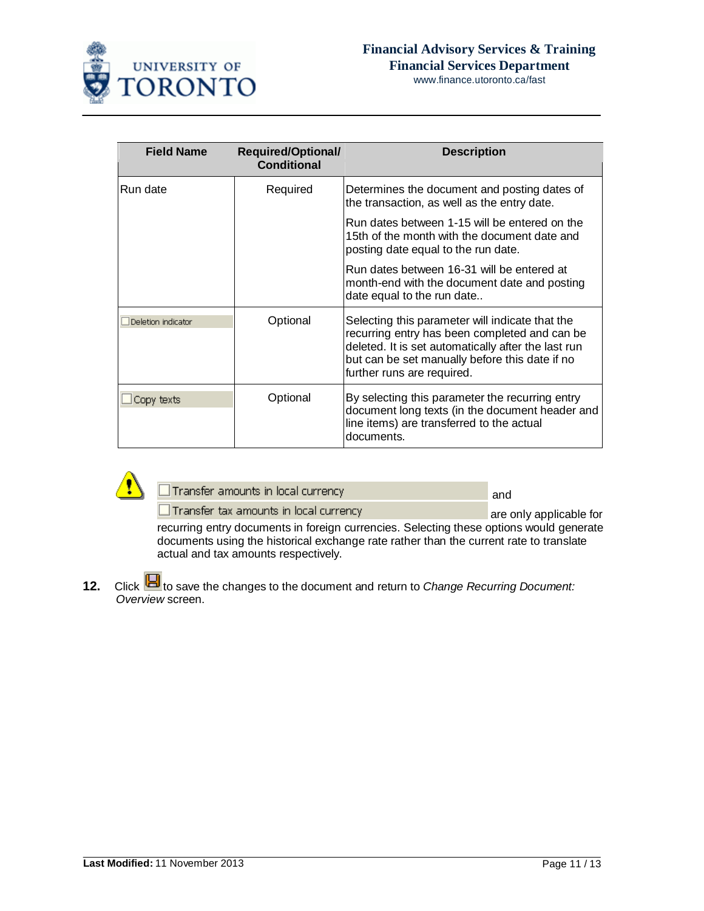

www.finance.utoronto.ca/fast

| <b>Field Name</b>  | <b>Required/Optional/</b><br><b>Conditional</b> | <b>Description</b>                                                                                                                                                                                                                      |
|--------------------|-------------------------------------------------|-----------------------------------------------------------------------------------------------------------------------------------------------------------------------------------------------------------------------------------------|
| Run date           | Required                                        | Determines the document and posting dates of<br>the transaction, as well as the entry date.                                                                                                                                             |
|                    |                                                 | Run dates between 1-15 will be entered on the<br>15th of the month with the document date and<br>posting date equal to the run date.                                                                                                    |
|                    |                                                 | Run dates between 16-31 will be entered at<br>month-end with the document date and posting<br>date equal to the run date                                                                                                                |
| Deletion indicator | Optional                                        | Selecting this parameter will indicate that the<br>recurring entry has been completed and can be<br>deleted. It is set automatically after the last run<br>but can be set manually before this date if no<br>further runs are required. |
| Copy texts         | Optional                                        | By selecting this parameter the recurring entry<br>document long texts (in the document header and<br>line items) are transferred to the actual<br>documents.                                                                           |



| $\Box$ Transfer amounts in local currency | and |
|-------------------------------------------|-----|
|                                           |     |

Transfer tax amounts in local currency are only applicable for recurring entry documents in foreign currencies. Selecting these options would generate documents using the historical exchange rate rather than the current rate to translate actual and tax amounts respectively.

**12.** Click **b** to save the changes to the document and return to *Change Recurring Document: Overview* screen.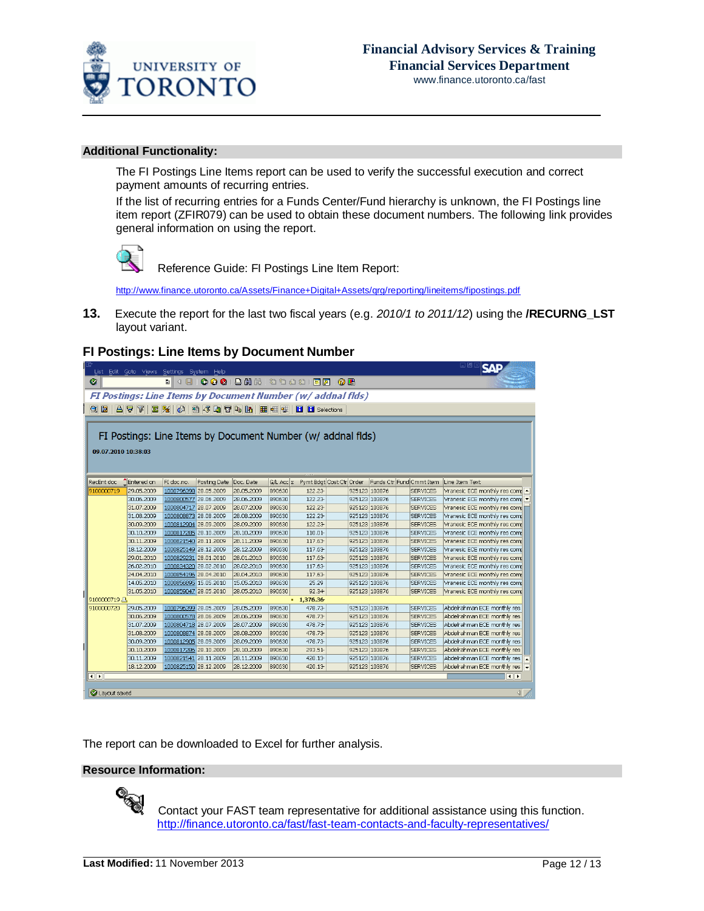

www.finance.utoronto.ca/fast

### **Additional Functionality:**

The FI Postings Line Items report can be used to verify the successful execution and correct payment amounts of recurring entries.

If the list of recurring entries for a Funds Center/Fund hierarchy is unknown, the FI Postings line item report (ZFIR079) can be used to obtain these document numbers. The following link provides general information on using the report.



Reference Guide: FI Postings Line Item Report:

[http://www.finance.utoronto.ca/Assets/Finance+Digital+Assets/qrg/reporting/lineitems/fipostings.pdf](http://finance.utoronto.ca/wp-content/uploads/2015/10/fipostings.pdf)

**13.** Execute the report for the last two fiscal years (e.g. *2010/1 to 2011/12*) using the **/RECURNG\_LST** layout variant.

### **FI Postings: Line Items by Document Number**

| List Edit Goto Views Settings System Help                                          |            |                       |              |                                                  |           |                          |  |               |  |  |                 | 口回区<br>KAI                    |  |
|------------------------------------------------------------------------------------|------------|-----------------------|--------------|--------------------------------------------------|-----------|--------------------------|--|---------------|--|--|-----------------|-------------------------------|--|
| Ø                                                                                  |            |                       |              |                                                  |           |                          |  |               |  |  |                 |                               |  |
| FI Postings: Line Items by Document Number (w/ addnal flds)                        |            |                       |              |                                                  |           |                          |  |               |  |  |                 |                               |  |
| QE                                                                                 |            |                       |              | A 7 7 2 % 0 2 4 B C T + 1 H + + H H B Selections |           |                          |  |               |  |  |                 |                               |  |
|                                                                                    |            |                       |              |                                                  |           |                          |  |               |  |  |                 |                               |  |
| FI Postings: Line Items by Document Number (w/ addnal flds)<br>09.07.2010 10:38:03 |            |                       |              |                                                  |           |                          |  |               |  |  |                 |                               |  |
| Funds Ctr Fund Cmmt Item                                                           |            |                       |              |                                                  |           |                          |  |               |  |  |                 |                               |  |
| RecEnt doc                                                                         | Entered on | FI doc.no.            | Posting Date | Doc. Date                                        | G/L Acc E | Pymt Bdgt Cost Ctr Order |  |               |  |  |                 | Line Item Text                |  |
| 9100000719                                                                         | 29.05.2009 | 1000796398 28.05.2009 |              | 28.05.2009                                       | 890630    | 122.23                   |  | 925123 103876 |  |  | <b>SERVICES</b> | Vranesic ECE monthly res comp |  |
|                                                                                    | 30.06.2009 | 1000800577 28.06.2009 |              | 28.06.2009                                       | 890630    | 122.23                   |  | 925123 103876 |  |  | <b>SERVICES</b> | Vranesic ECE monthly res comp |  |
|                                                                                    | 31.07.2009 | 1000804717 28.07.2009 |              | 28.07.2009                                       | 890630    | 122.23                   |  | 925123 103876 |  |  | <b>SERVICES</b> | Vranesic ECE monthly res comp |  |
|                                                                                    | 31.08.2009 | 1000808873 28.08.2009 |              | 28.08.2009                                       | 890630    | 122.23                   |  | 925123 103876 |  |  | <b>SERVICES</b> | Vranesic ECE monthly res comp |  |
|                                                                                    | 30.09.2009 | 1000812904 28.09.2009 |              | 28.09.2009                                       | 890630    | 122.23                   |  | 925123 103876 |  |  | <b>SERVICES</b> | Vranesic ECE monthly res comp |  |
|                                                                                    | 30.10.2009 | 1000817285 28.10.2009 |              | 28.10.2009                                       | 890630    | 110.01-                  |  | 925123 103876 |  |  | <b>SERVICES</b> | Vranesic ECE monthly res comp |  |
|                                                                                    | 30.11.2009 | 1000821540 28.11.2009 |              | 28.11.2009                                       | 890630    | 117.63                   |  | 925123 103876 |  |  | <b>SERVICES</b> | Vranesic ECE monthly res comp |  |
|                                                                                    | 18.12.2009 | 1000825149 28.12.2009 |              | 28.12.2009                                       | 890630    | 117.63                   |  | 925123 103876 |  |  | <b>SERVICES</b> | Vranesic ECE monthly res comt |  |
|                                                                                    | 29.01.2010 | 1000829231 28.01.2010 |              | 28.01.2010                                       | 890630    | 117.63                   |  | 925123 103876 |  |  | <b>SERVICES</b> | Vranesic ECE monthly res comp |  |
|                                                                                    | 26.02.2010 | 1000834320 28.02.2010 |              | 28.02.2010                                       | 890630    | 117.63                   |  | 925123 103876 |  |  | <b>SERVICES</b> | Vranesic ECE monthly res comp |  |
|                                                                                    | 24.04.2010 | 1000854196 28.04.2010 |              | 28.04.2010                                       | 890630    | 117.63                   |  | 925123 103876 |  |  | <b>SERVICES</b> | Vranesic ECE monthly res comp |  |
|                                                                                    | 14.05.2010 | 1000856895 15.05.2010 |              | 15.05.2010                                       | 890630    | 25.29                    |  | 925123 103876 |  |  | <b>SERVICES</b> | Vranesic ECE monthly res comp |  |
|                                                                                    | 31.05.2010 | 1000859047 28.05.2010 |              | 28.05.2010                                       | 890630    | 92.34                    |  | 925123 103876 |  |  | <b>SERVICES</b> | Vranesic ECE monthly res comp |  |
| 9100000719 A<br>1,376.36                                                           |            |                       |              |                                                  |           |                          |  |               |  |  |                 |                               |  |
| 9100000720                                                                         | 29.05.2009 | 1000796399 28.05.2009 |              | 28.05.2009                                       | 890630    | 478.73                   |  | 925123 103876 |  |  | <b>SERVICES</b> | Abdelrahman ECE monthly res   |  |
|                                                                                    | 30.06.2009 | 1000800578 28.06.2009 |              | 28.06.2009                                       | 890630    | 478.73                   |  | 925123 103876 |  |  | <b>SERVICES</b> | Abdelrahman ECE monthly res   |  |
|                                                                                    | 31.07.2009 | 1000804718 28.07.2009 |              | 28.07.2009                                       | 890630    | 478.73                   |  | 925123 103876 |  |  | <b>SERVICES</b> | Abdelrahman ECE monthly res   |  |
|                                                                                    | 31.08.2009 | 1000808874 28.08.2009 |              | 28.08.2009                                       | 890630    | 478.73                   |  | 925123 103876 |  |  | <b>SERVICES</b> | Abdelrahman ECE monthly res   |  |
|                                                                                    | 30.09.2009 | 1000812905 28.09.2009 |              | 28.09.2009                                       | 890630    | 478.73                   |  | 925123 103876 |  |  | <b>SERVICES</b> | Abdelrahman ECE monthly res   |  |
|                                                                                    | 30.10.2009 | 1000817286 28.10.2009 |              | 28.10.2009                                       | 890630    | 293.51-                  |  | 925123 103876 |  |  | <b>SERVICES</b> | Abdelrahman ECE monthly res   |  |
|                                                                                    | 30.11.2009 | 1000821541 28.11.2009 |              | 28.11.2009                                       | 890630    | 420.13                   |  | 925123 103876 |  |  | <b>SERVICES</b> | Abdelrahman ECE monthly res   |  |
|                                                                                    | 18.12.2009 | 1000825150 28.12.2009 |              | 28.12.2009                                       | 890630    | 420.13                   |  | 925123 103876 |  |  | <b>SERVICES</b> | Abdelrahman ECE monthly res   |  |
| $\overline{\mathbf{E}}$                                                            |            |                       |              |                                                  |           |                          |  |               |  |  |                 | $\overline{\bullet}$          |  |
|                                                                                    |            |                       |              |                                                  |           |                          |  |               |  |  |                 |                               |  |
| Layout saved                                                                       |            |                       |              |                                                  |           |                          |  |               |  |  |                 | ◁                             |  |

The report can be downloaded to Excel for further analysis.

### **Resource Information:**



 Contact your FAST team representative for additional assistance using this function. <http://finance.utoronto.ca/fast/fast-team-contacts-and-faculty-representatives/>